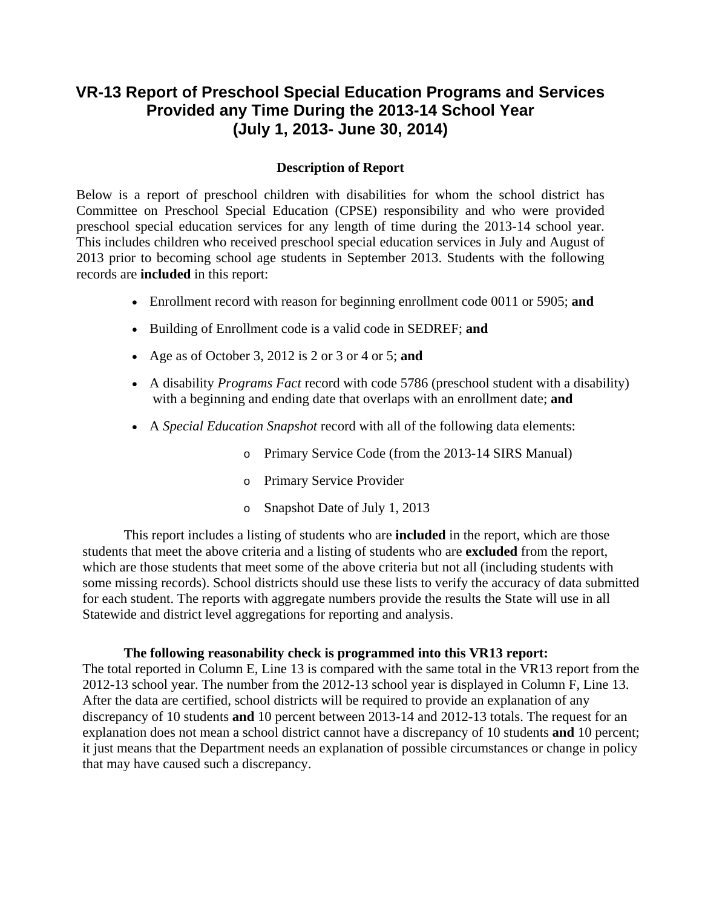## **VR-13 Report of Preschool Special Education Programs and Services Provided any Time During the 2013-14 School Year (July 1, 2013- June 30, 2014)**

## **Description of Report**

Below is a report of preschool children with disabilities for whom the school district has Committee on Preschool Special Education (CPSE) responsibility and who were provided preschool special education services for any length of time during the 2013-14 school year. This includes children who received preschool special education services in July and August of 2013 prior to becoming school age students in September 2013. Students with the following records are **included** in this report:

- Enrollment record with reason for beginning enrollment code 0011 or 5905; **and**
- Building of Enrollment code is a valid code in SEDREF; **and**
- Age as of October 3, 2012 is 2 or 3 or 4 or 5; **and**
- A disability *Programs Fact* record with code 5786 (preschool student with a disability) with a beginning and ending date that overlaps with an enrollment date; **and**
- A *Special Education Snapshot* record with all of the following data elements:
	- o Primary Service Code (from the 2013-14 SIRS Manual)
	- o Primary Service Provider
	- o Snapshot Date of July 1, 2013

This report includes a listing of students who are **included** in the report, which are those students that meet the above criteria and a listing of students who are **excluded** from the report, which are those students that meet some of the above criteria but not all (including students with some missing records). School districts should use these lists to verify the accuracy of data submitted for each student. The reports with aggregate numbers provide the results the State will use in all Statewide and district level aggregations for reporting and analysis.

## **The following reasonability check is programmed into this VR13 report:**

The total reported in Column E, Line 13 is compared with the same total in the VR13 report from the 2012-13 school year. The number from the 2012-13 school year is displayed in Column F, Line 13. After the data are certified, school districts will be required to provide an explanation of any discrepancy of 10 students **and** 10 percent between 2013-14 and 2012-13 totals. The request for an explanation does not mean a school district cannot have a discrepancy of 10 students **and** 10 percent; it just means that the Department needs an explanation of possible circumstances or change in policy that may have caused such a discrepancy.